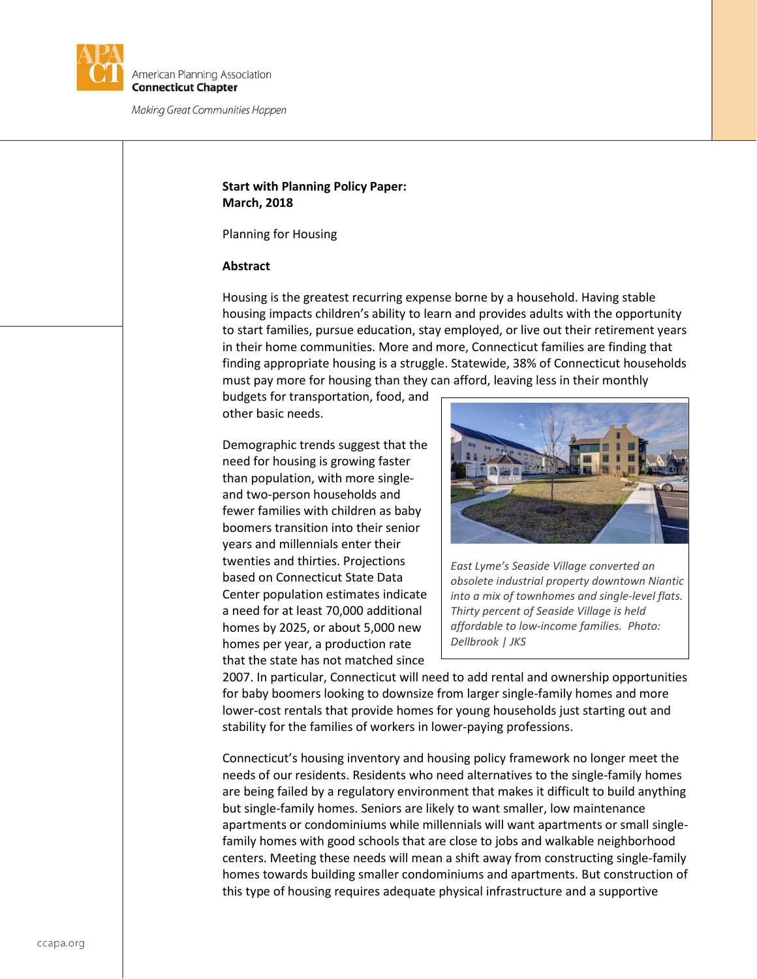

# **Start with Planning Policy Paper: March, 2018**

Planning for Housing

#### **Abstract**

Housing is the greatest recurring expense borne by a household. Having stable housing impacts children's ability to learn and provides adults with the opportunity to start families, pursue education, stay employed, or live out their retirement years in their home communities. More and more, Connecticut families are finding that finding appropriate housing is a struggle. Statewide, 38% of Connecticut households must pay more for housing than they can afford, leaving less in their monthly

budgets for transportation, food, and other basic needs.

Demographic trends suggest that the need for housing is growing faster than population, with more singleand two-person households and fewer families with children as baby boomers transition into their senior years and millennials enter their twenties and thirties. Projections based on Connecticut State Data Center population estimates indicate a need for at least 70,000 additional homes by 2025, or about 5,000 new homes per year, a production rate that the state has not matched since



*East Lyme's Seaside Village converted an obsolete industrial property downtown Niantic into a mix of townhomes and single-level flats. Thirty percent of Seaside Village is held affordable to low-income families. Photo: Dellbrook | JKS*

2007. In particular, Connecticut will need to add rental and ownership opportunities for baby boomers looking to downsize from larger single-family homes and more lower-cost rentals that provide homes for young households just starting out and stability for the families of workers in lower-paying professions.

Connecticut's housing inventory and housing policy framework no longer meet the needs of our residents. Residents who need alternatives to the single-family homes are being failed by a regulatory environment that makes it difficult to build anything but single-family homes. Seniors are likely to want smaller, low maintenance apartments or condominiums while millennials will want apartments or small singlefamily homes with good schools that are close to jobs and walkable neighborhood centers. Meeting these needs will mean a shift away from constructing single-family homes towards building smaller condominiums and apartments. But construction of this type of housing requires adequate physical infrastructure and a supportive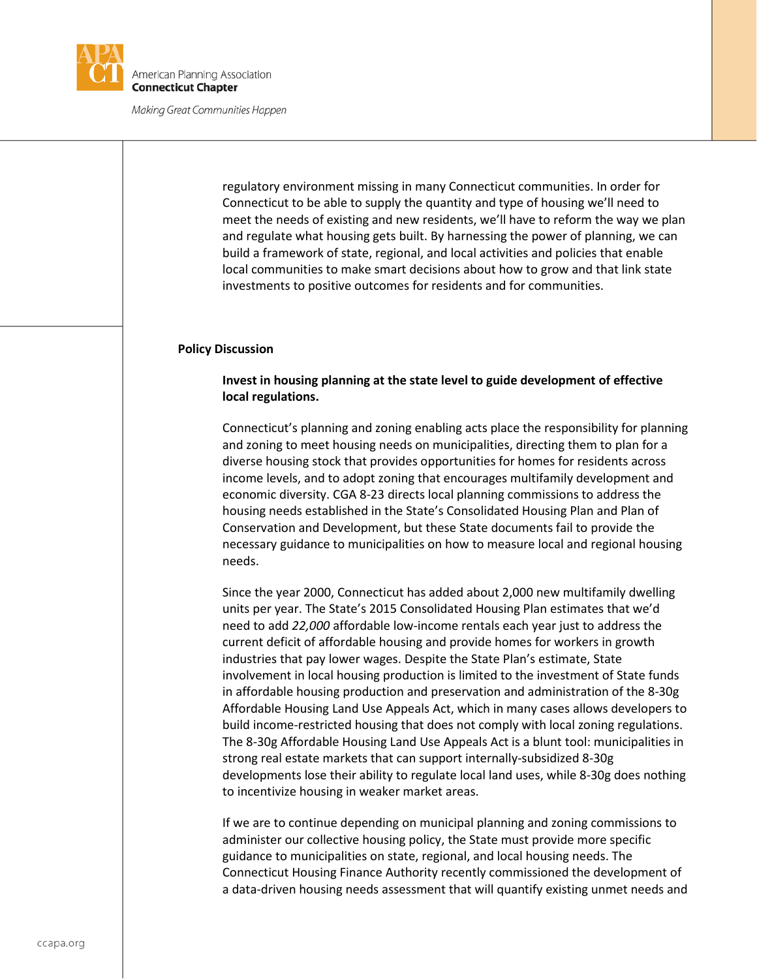

regulatory environment missing in many Connecticut communities. In order for Connecticut to be able to supply the quantity and type of housing we'll need to meet the needs of existing and new residents, we'll have to reform the way we plan and regulate what housing gets built. By harnessing the power of planning, we can build a framework of state, regional, and local activities and policies that enable local communities to make smart decisions about how to grow and that link state investments to positive outcomes for residents and for communities.

#### **Policy Discussion**

### **Invest in housing planning at the state level to guide development of effective local regulations.**

Connecticut's planning and zoning enabling acts place the responsibility for planning and zoning to meet housing needs on municipalities, directing them to plan for a diverse housing stock that provides opportunities for homes for residents across income levels, and to adopt zoning that encourages multifamily development and economic diversity. CGA 8-23 directs local planning commissions to address the housing needs established in the State's Consolidated Housing Plan and Plan of Conservation and Development, but these State documents fail to provide the necessary guidance to municipalities on how to measure local and regional housing needs.

Since the year 2000, Connecticut has added about 2,000 new multifamily dwelling units per year. The State's 2015 Consolidated Housing Plan estimates that we'd need to add *22,000* affordable low-income rentals each year just to address the current deficit of affordable housing and provide homes for workers in growth industries that pay lower wages. Despite the State Plan's estimate, State involvement in local housing production is limited to the investment of State funds in affordable housing production and preservation and administration of the 8-30g Affordable Housing Land Use Appeals Act, which in many cases allows developers to build income-restricted housing that does not comply with local zoning regulations. The 8-30g Affordable Housing Land Use Appeals Act is a blunt tool: municipalities in strong real estate markets that can support internally-subsidized 8-30g developments lose their ability to regulate local land uses, while 8-30g does nothing to incentivize housing in weaker market areas.

If we are to continue depending on municipal planning and zoning commissions to administer our collective housing policy, the State must provide more specific guidance to municipalities on state, regional, and local housing needs. The Connecticut Housing Finance Authority recently commissioned the development of a data-driven housing needs assessment that will quantify existing unmet needs and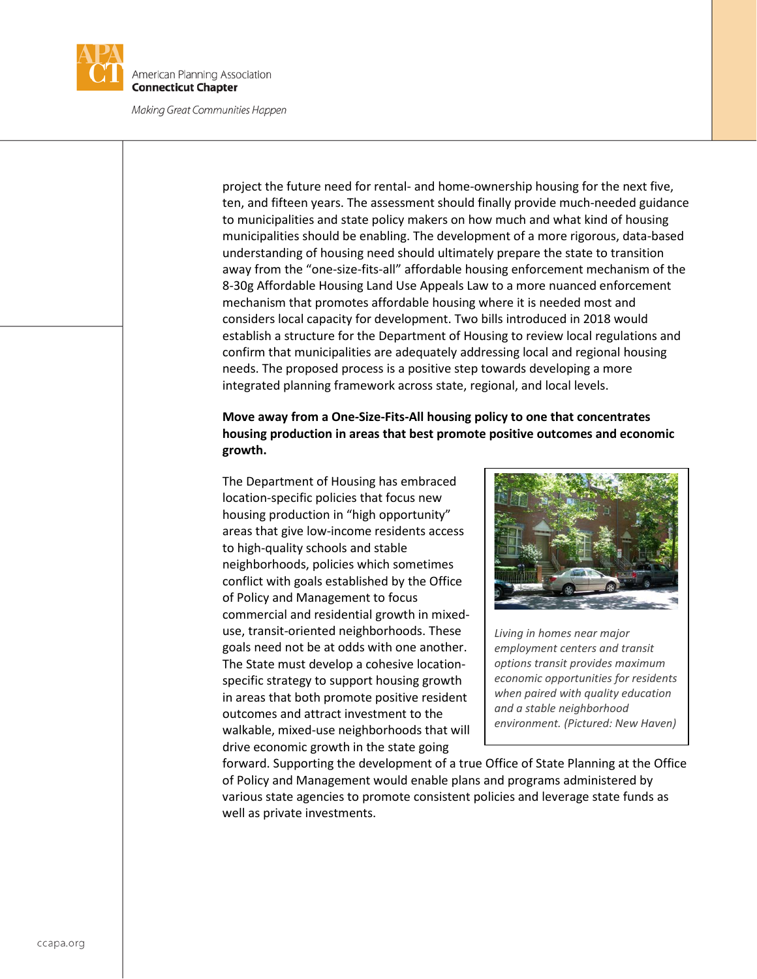

project the future need for rental- and home-ownership housing for the next five, ten, and fifteen years. The assessment should finally provide much-needed guidance to municipalities and state policy makers on how much and what kind of housing municipalities should be enabling. The development of a more rigorous, data-based understanding of housing need should ultimately prepare the state to transition away from the "one-size-fits-all" affordable housing enforcement mechanism of the 8-30g Affordable Housing Land Use Appeals Law to a more nuanced enforcement mechanism that promotes affordable housing where it is needed most and considers local capacity for development. Two bills introduced in 2018 would establish a structure for the Department of Housing to review local regulations and confirm that municipalities are adequately addressing local and regional housing needs. The proposed process is a positive step towards developing a more integrated planning framework across state, regional, and local levels.

# **Move away from a One-Size-Fits-All housing policy to one that concentrates housing production in areas that best promote positive outcomes and economic growth.**

The Department of Housing has embraced location-specific policies that focus new housing production in "high opportunity" areas that give low-income residents access to high-quality schools and stable neighborhoods, policies which sometimes conflict with goals established by the Office of Policy and Management to focus commercial and residential growth in mixeduse, transit-oriented neighborhoods. These goals need not be at odds with one another. The State must develop a cohesive locationspecific strategy to support housing growth in areas that both promote positive resident outcomes and attract investment to the walkable, mixed-use neighborhoods that will drive economic growth in the state going



*Living in homes near major employment centers and transit options transit provides maximum economic opportunities for residents when paired with quality education and a stable neighborhood environment. (Pictured: New Haven)*

forward. Supporting the development of a true Office of State Planning at the Office of Policy and Management would enable plans and programs administered by various state agencies to promote consistent policies and leverage state funds as well as private investments.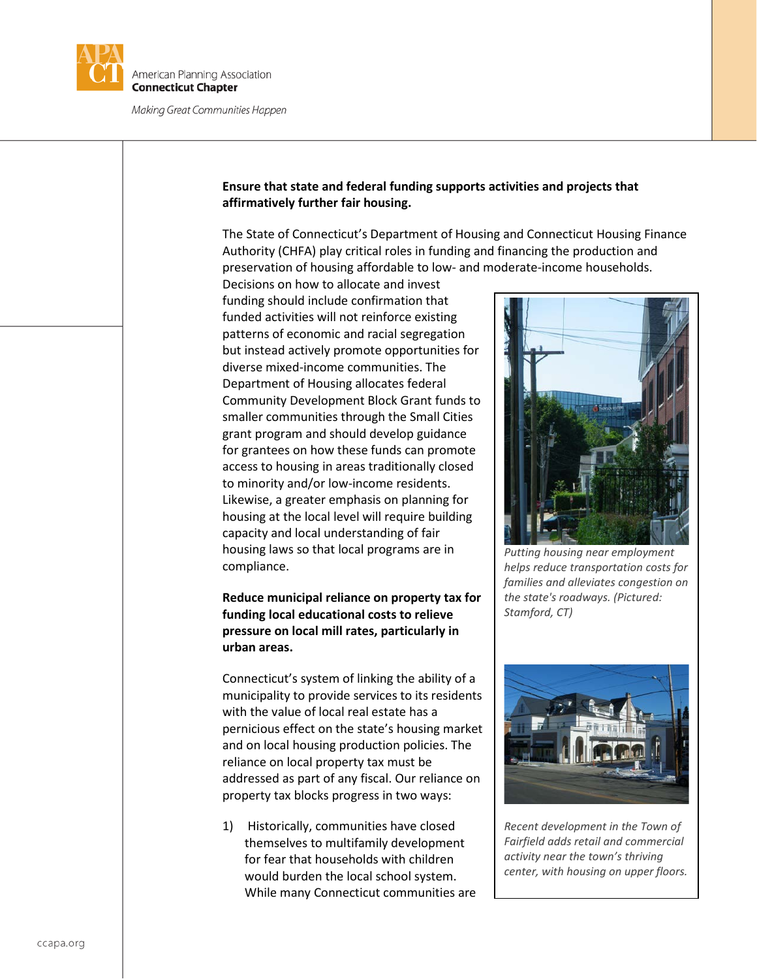

## **Ensure that state and federal funding supports activities and projects that affirmatively further fair housing.**

The State of Connecticut's Department of Housing and Connecticut Housing Finance Authority (CHFA) play critical roles in funding and financing the production and preservation of housing affordable to low- and moderate-income households.

Decisions on how to allocate and invest funding should include confirmation that funded activities will not reinforce existing patterns of economic and racial segregation but instead actively promote opportunities for diverse mixed-income communities. The Department of Housing allocates federal Community Development Block Grant funds to smaller communities through the Small Cities grant program and should develop guidance for grantees on how these funds can promote access to housing in areas traditionally closed to minority and/or low-income residents. Likewise, a greater emphasis on planning for housing at the local level will require building capacity and local understanding of fair housing laws so that local programs are in compliance.

**Reduce municipal reliance on property tax for funding local educational costs to relieve pressure on local mill rates, particularly in urban areas.** 

Connecticut's system of linking the ability of a municipality to provide services to its residents with the value of local real estate has a pernicious effect on the state's housing market and on local housing production policies. The reliance on local property tax must be addressed as part of any fiscal. Our reliance on property tax blocks progress in two ways:

1) Historically, communities have closed themselves to multifamily development for fear that households with children would burden the local school system. While many Connecticut communities are



*Putting housing near employment helps reduce transportation costs for families and alleviates congestion on the state's roadways. (Pictured: Stamford, CT)*



*Recent development in the Town of Fairfield adds retail and commercial activity near the town's thriving center, with housing on upper floors.*